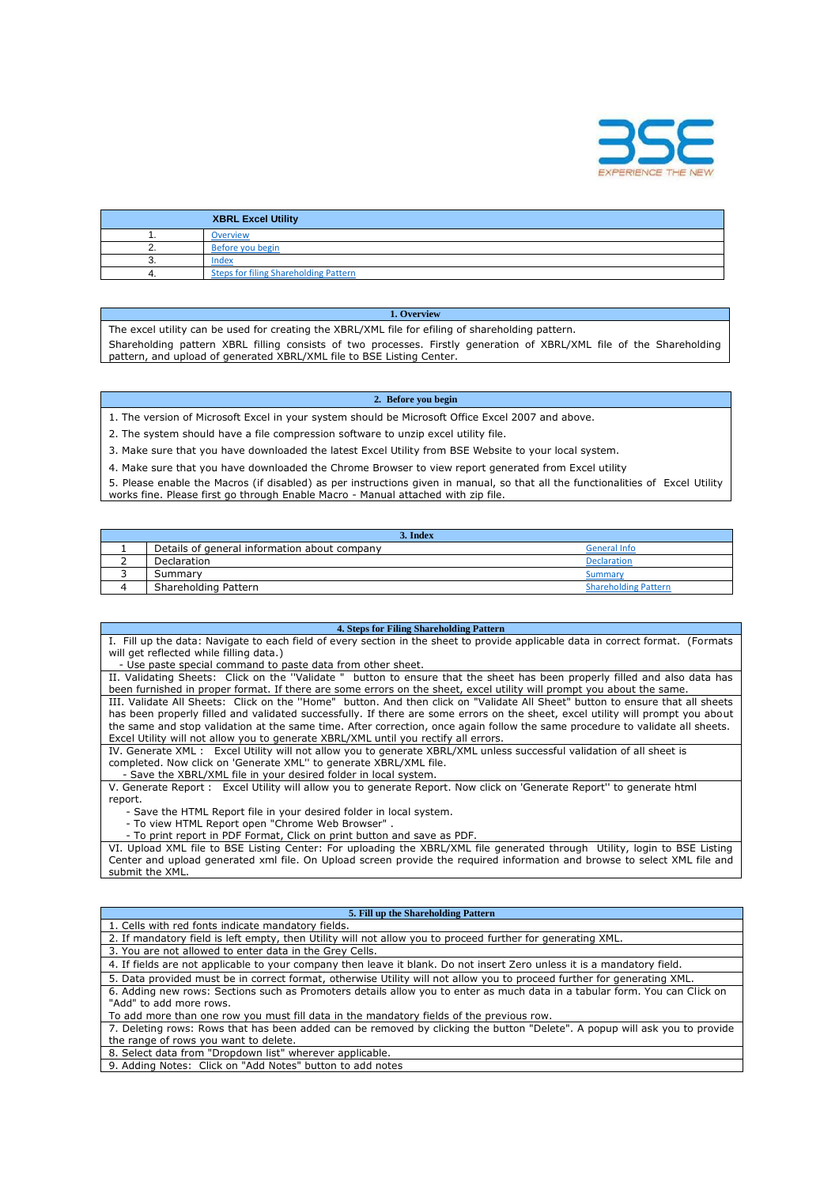

| <b>XBRL Excel Utility</b>                    |
|----------------------------------------------|
| <b>Overview</b>                              |
| Before you begin                             |
| Index                                        |
| <b>Steps for filing Shareholding Pattern</b> |

## **1. Overview**

The excel utility can be used for creating the XBRL/XML file for efiling of shareholding pattern.

Shareholding pattern XBRL filling consists of two processes. Firstly generation of XBRL/XML file of the Shareholding pattern, and upload of generated XBRL/XML file to BSE Listing Center.

## **2. Before you begin**

1. The version of Microsoft Excel in your system should be Microsoft Office Excel 2007 and above.

2. The system should have a file compression software to unzip excel utility file.

3. Make sure that you have downloaded the latest Excel Utility from BSE Website to your local system.

4. Make sure that you have downloaded the Chrome Browser to view report generated from Excel utility

5. Please enable the Macros (if disabled) as per instructions given in manual, so that all the functionalities of Excel Utility works fine. Please first go through Enable Macro - Manual attached with zip file.

| 3. Index                                     |                             |  |  |  |  |  |  |  |  |  |  |
|----------------------------------------------|-----------------------------|--|--|--|--|--|--|--|--|--|--|
| Details of general information about company | <b>General Info</b>         |  |  |  |  |  |  |  |  |  |  |
| Declaration                                  | <b>Declaration</b>          |  |  |  |  |  |  |  |  |  |  |
| Summary                                      | Summary                     |  |  |  |  |  |  |  |  |  |  |
| Shareholding Pattern                         | <b>Shareholding Pattern</b> |  |  |  |  |  |  |  |  |  |  |

## **4. Steps for Filing Shareholding Pattern**

I. Fill up the data: Navigate to each field of every section in the sheet to provide applicable data in correct format. (Formats will get reflected while filling data.)

- Use paste special command to paste data from other sheet.

II. Validating Sheets: Click on the ''Validate " button to ensure that the sheet has been properly filled and also data has been furnished in proper format. If there are some errors on the sheet, excel utility will prompt you about the same. III. Validate All Sheets: Click on the ''Home" button. And then click on "Validate All Sheet" button to ensure that all sheets has been properly filled and validated successfully. If there are some errors on the sheet, excel utility will prompt you about the same and stop validation at the same time. After correction, once again follow the same procedure to validate all sheets.

Excel Utility will not allow you to generate XBRL/XML until you rectify all errors. Excel Utility will not allow you to generate XBRL/XML unless successful validation of all sheet is completed. Now click on 'Generate XML'' to generate XBRL/XML file.

- Save the XBRL/XML file in your desired folder in local system.

V. Generate Report : Excel Utility will allow you to generate Report. Now click on 'Generate Report'' to generate html report.

- Save the HTML Report file in your desired folder in local system.

- To view HTML Report open "Chrome Web Browser" .

- To print report in PDF Format, Click on print button and save as PDF.

VI. Upload XML file to BSE Listing Center: For uploading the XBRL/XML file generated through Utility, login to BSE Listing Center and upload generated xml file. On Upload screen provide the required information and browse to select XML file and submit the XML.

## **5. Fill up the Shareholding Pattern**

| 1. Cells with red fonts indicate mandatory fields.                                                                      |
|-------------------------------------------------------------------------------------------------------------------------|
| 2. If mandatory field is left empty, then Utility will not allow you to proceed further for generating XML.             |
| 3. You are not allowed to enter data in the Grey Cells.                                                                 |
| 4. If fields are not applicable to your company then leave it blank. Do not insert Zero unless it is a mandatory field. |
| 5. Data provided must be in correct format, otherwise Utility will not allow you to proceed further for generating XML. |
|                                                                                                                         |

6. Adding new rows: Sections such as Promoters details allow you to enter as much data in a tabular form. You can Click on "Add" to add more rows.

To add more than one row you must fill data in the mandatory fields of the previous row.

7. Deleting rows: Rows that has been added can be removed by clicking the button "Delete". A popup will ask you to provide the range of rows you want to delete.

8. Select data from "Dropdown list" wherever applicable.

9. Adding Notes: Click on "Add Notes" button to add notes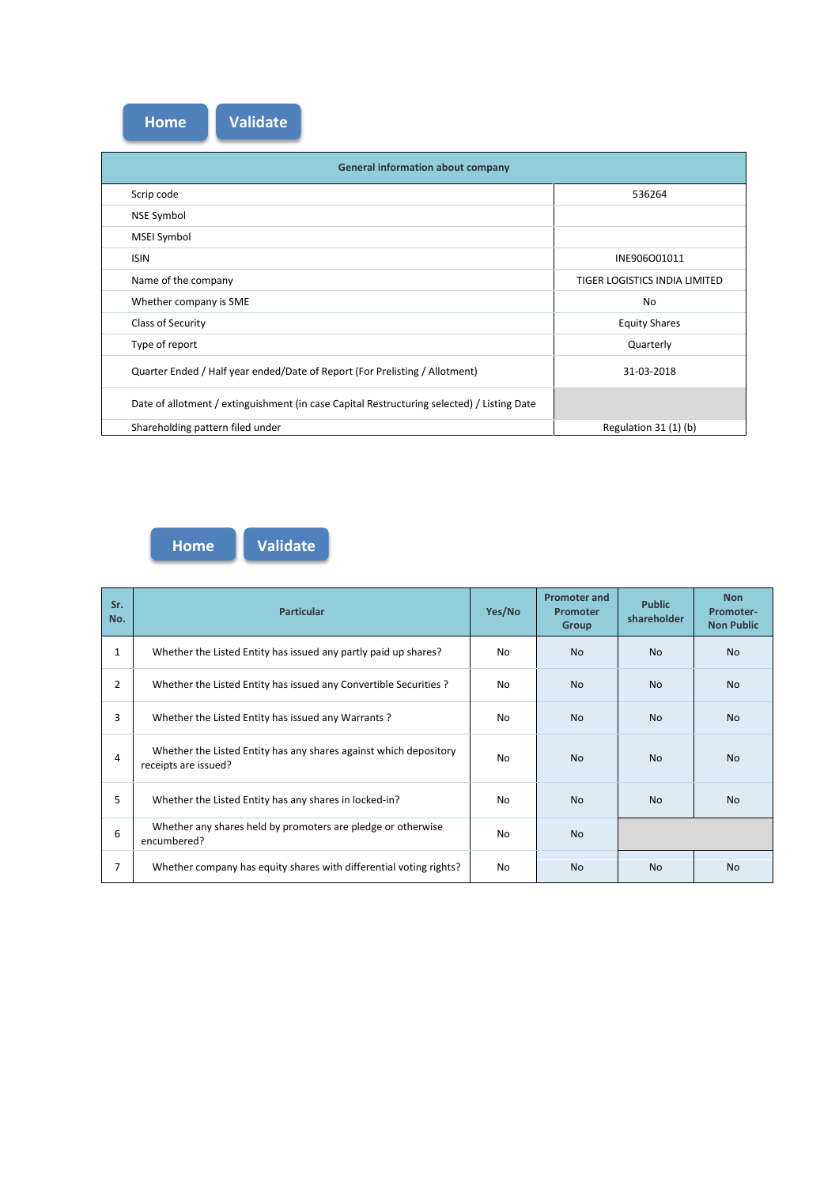| <b>Home</b> | <b>Validate</b> |
|-------------|-----------------|
|-------------|-----------------|

| <b>General information about company</b>                                                   |                               |
|--------------------------------------------------------------------------------------------|-------------------------------|
| Scrip code                                                                                 | 536264                        |
| <b>NSE Symbol</b>                                                                          |                               |
| <b>MSEI Symbol</b>                                                                         |                               |
| <b>ISIN</b>                                                                                | INE906O01011                  |
| Name of the company                                                                        | TIGER LOGISTICS INDIA LIMITED |
| Whether company is SME                                                                     | No                            |
| Class of Security                                                                          | <b>Equity Shares</b>          |
| Type of report                                                                             | Quarterly                     |
| Quarter Ended / Half year ended/Date of Report (For Prelisting / Allotment)                | 31-03-2018                    |
| Date of allotment / extinguishment (in case Capital Restructuring selected) / Listing Date |                               |
| Shareholding pattern filed under                                                           | Regulation 31 (1) (b)         |



**Home Validate**

| Sr.<br>No.     | <b>Particular</b>                                                                         | Yes/No    | <b>Promoter and</b><br><b>Promoter</b><br><b>Group</b> | <b>Public</b><br>shareholder | <b>Non</b><br>Promoter-<br><b>Non Public</b> |
|----------------|-------------------------------------------------------------------------------------------|-----------|--------------------------------------------------------|------------------------------|----------------------------------------------|
| 1              | Whether the Listed Entity has issued any partly paid up shares?                           | No.       | <b>No</b>                                              | <b>No</b>                    | <b>No</b>                                    |
| $\overline{2}$ | Whether the Listed Entity has issued any Convertible Securities ?                         | No        | <b>No</b>                                              | <b>No</b>                    | <b>No</b>                                    |
| 3              | Whether the Listed Entity has issued any Warrants?                                        | <b>No</b> | <b>No</b>                                              | <b>No</b>                    | <b>No</b>                                    |
| 4              | Whether the Listed Entity has any shares against which depository<br>receipts are issued? | No        | <b>No</b>                                              | <b>No</b>                    | <b>No</b>                                    |
| 5              | Whether the Listed Entity has any shares in locked-in?                                    | <b>No</b> | <b>No</b>                                              | <b>No</b>                    | <b>No</b>                                    |
| 6              | Whether any shares held by promoters are pledge or otherwise<br>encumbered?               | No        | <b>No</b>                                              |                              |                                              |
| $\overline{7}$ | Whether company has equity shares with differential voting rights?                        | No        | <b>No</b>                                              | <b>No</b>                    | <b>No</b>                                    |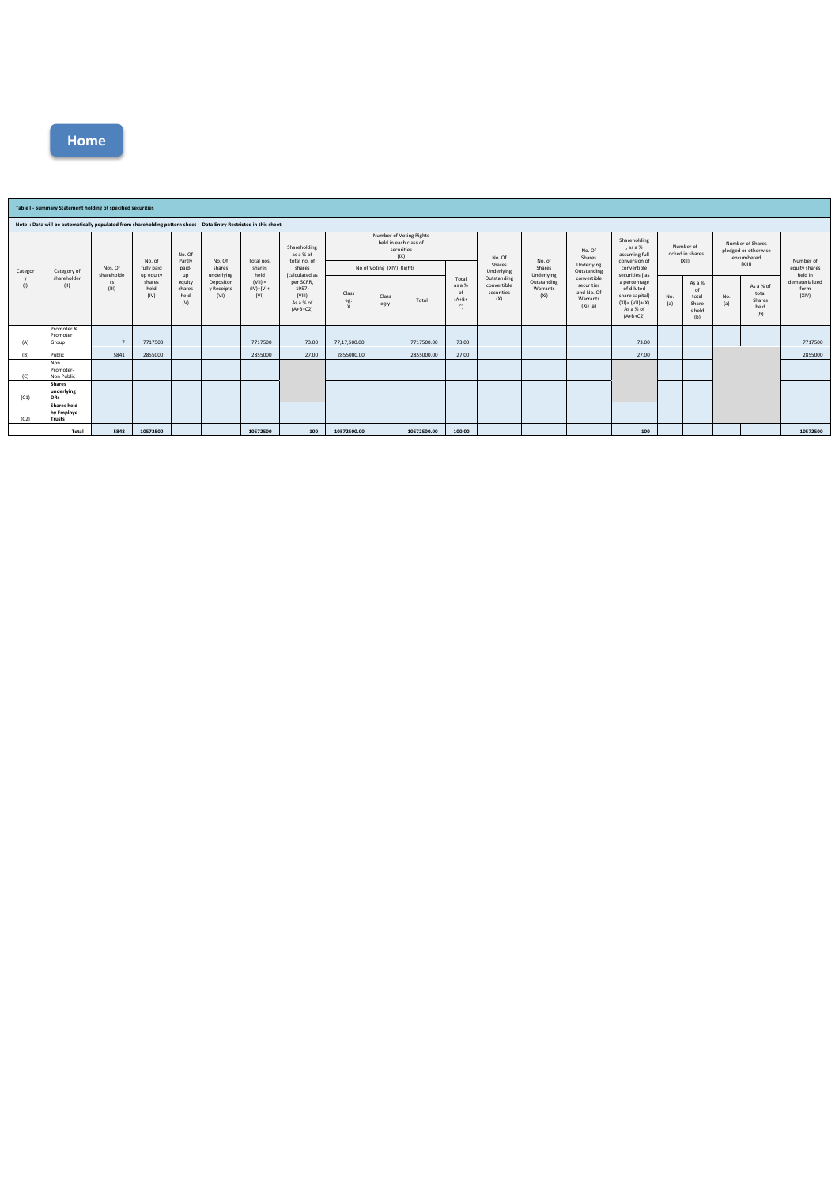

|                | Table I - Summary Statement holding of specified securities                                                       |                                      |                                   |                                 |                                                                   |                                                                  |                                                                                                                                  |                                                                                                     |               |             |                                        |                                                 |                                               |                                                                                             |                                                                                               |            |                                                                  |            |                                             |                                 |
|----------------|-------------------------------------------------------------------------------------------------------------------|--------------------------------------|-----------------------------------|---------------------------------|-------------------------------------------------------------------|------------------------------------------------------------------|----------------------------------------------------------------------------------------------------------------------------------|-----------------------------------------------------------------------------------------------------|---------------|-------------|----------------------------------------|-------------------------------------------------|-----------------------------------------------|---------------------------------------------------------------------------------------------|-----------------------------------------------------------------------------------------------|------------|------------------------------------------------------------------|------------|---------------------------------------------|---------------------------------|
|                | Note : Data will be automatically populated from shareholding pattern sheet - Data Entry Restricted in this sheet |                                      |                                   |                                 |                                                                   |                                                                  |                                                                                                                                  |                                                                                                     |               |             |                                        |                                                 |                                               |                                                                                             |                                                                                               |            |                                                                  |            |                                             |                                 |
| Categor<br>(1) | Category of<br>shareholder<br>(11)                                                                                | Nos. Of<br>shareholde<br>rs<br>(III) | No. of<br>fully paid<br>up equity | No. Of<br>Partly<br>paid-<br>up | No. Of<br>shares<br>underlying<br>Depositor<br>y Receipts<br>(VI) | Total nos.<br>shares<br>held<br>$(VII) =$<br>$(IV)+(V)+$<br>(VI) | Shareholding<br>as a % of<br>total no. of<br>shares<br>(calculated as<br>per SCRR,<br>1957)<br>(VIII)<br>As a % of<br>$(A+B+C2)$ | Number of Voting Rights<br>held in each class of<br>securities<br>(IX)<br>No of Voting (XIV) Rights |               |             | No. Of<br>Shares<br>Underlying         | No. of<br>Shares<br>Underlying                  | No. Of<br>Shares<br>Underlying<br>Outstanding | Shareholding<br>, as a %<br>assuming full<br>conversion of<br>convertible<br>securities (as | Number of<br>Locked in shares<br>(XII)                                                        |            | Number of Shares<br>pledged or otherwise<br>encumbered<br>(XIII) |            | Number of<br>equity shares<br>held in       |                                 |
|                |                                                                                                                   |                                      | shares<br>held<br>(IV)            | equity<br>shares<br>held<br>(V) |                                                                   |                                                                  |                                                                                                                                  | Class<br>eg:<br>x                                                                                   | Class<br>eg:y | Total       | Total<br>as a %<br>of<br>$(A+B+$<br>C) | Outstanding<br>convertible<br>securities<br>(X) | Outstanding<br>Warrants<br>(X <sub>i</sub> )  | convertible<br>securities<br>and No. Of<br>Warrants<br>$(Xi)$ (a)                           | a percentage<br>of diluted<br>share capital)<br>$(XI) = (VII)+(X)$<br>As a % of<br>$(A+B+C2)$ | No.<br>(a) | As a %<br>of<br>total<br>Share<br>s held<br>(b)                  | No.<br>(a) | As a % of<br>total<br>Shares<br>held<br>(b) | dematerialized<br>form<br>(XIV) |
| (A)            | Promoter &<br>Promoter<br>Group                                                                                   | $\overline{7}$                       | 7717500                           |                                 |                                                                   | 7717500                                                          | 73.00                                                                                                                            | 77,17,500.00                                                                                        |               | 7717500.00  | 73.00                                  |                                                 |                                               |                                                                                             | 73.00                                                                                         |            |                                                                  |            |                                             | 7717500                         |
| (B)            | Public                                                                                                            | 5841                                 | 2855000                           |                                 |                                                                   | 2855000                                                          | 27.00                                                                                                                            | 2855000.00                                                                                          |               | 2855000.00  | 27.00                                  |                                                 |                                               |                                                                                             | 27.00                                                                                         |            |                                                                  |            |                                             | 2855000                         |
| (C)            | Non<br>Promoter-<br>Non Public                                                                                    |                                      |                                   |                                 |                                                                   |                                                                  |                                                                                                                                  |                                                                                                     |               |             |                                        |                                                 |                                               |                                                                                             |                                                                                               |            |                                                                  |            |                                             |                                 |
| (C1)           | <b>Shares</b><br>underlying<br><b>DRs</b>                                                                         |                                      |                                   |                                 |                                                                   |                                                                  |                                                                                                                                  |                                                                                                     |               |             |                                        |                                                 |                                               |                                                                                             |                                                                                               |            |                                                                  |            |                                             |                                 |
| (C2)           | <b>Shares held</b><br>by Employe<br>Trusts                                                                        |                                      |                                   |                                 |                                                                   |                                                                  |                                                                                                                                  |                                                                                                     |               |             |                                        |                                                 |                                               |                                                                                             |                                                                                               |            |                                                                  |            |                                             |                                 |
|                | Total                                                                                                             | 5848                                 | 10572500                          |                                 |                                                                   | 10572500                                                         | 100                                                                                                                              | 10572500.00                                                                                         |               | 10572500.00 | 100.00                                 |                                                 |                                               |                                                                                             | 100                                                                                           |            |                                                                  |            |                                             | 10572500                        |